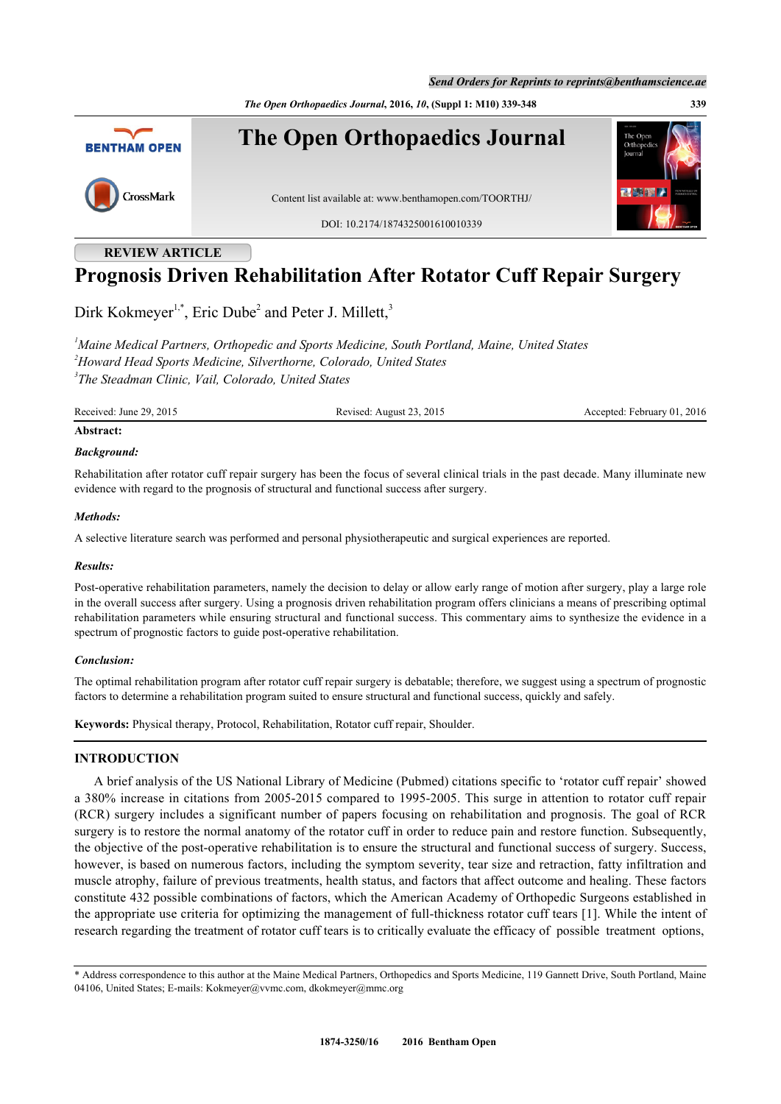*The Open Orthopaedics Journal***, 2016,** *10***, (Suppl 1: M10) 339-348 339**



## **REVIEW ARTICLE**

# **Prognosis Driven Rehabilitation After Rotator Cuff Repair Surgery**

Dirk Kokmeyer<sup>[1,](#page-0-0)[\\*](#page-0-1)</sup>, Eric Dube<sup>[2](#page-0-2)</sup> and Peter J. Millett,<sup>[3](#page-0-3)</sup>

<span id="page-0-3"></span><span id="page-0-2"></span><span id="page-0-0"></span>*<sup>1</sup>Maine Medical Partners, Orthopedic and Sports Medicine, South Portland, Maine, United States <sup>2</sup>Howard Head Sports Medicine, Silverthorne, Colorado, United States 3 The Steadman Clinic, Vail, Colorado, United States*

Received: June 29, 2015 Revised: August 23, 2015 Accepted: February 01, 2016

## **Abstract:**

### *Background:*

Rehabilitation after rotator cuff repair surgery has been the focus of several clinical trials in the past decade. Many illuminate new evidence with regard to the prognosis of structural and functional success after surgery.

#### *Methods:*

A selective literature search was performed and personal physiotherapeutic and surgical experiences are reported.

#### *Results:*

Post-operative rehabilitation parameters, namely the decision to delay or allow early range of motion after surgery, play a large role in the overall success after surgery. Using a prognosis driven rehabilitation program offers clinicians a means of prescribing optimal rehabilitation parameters while ensuring structural and functional success. This commentary aims to synthesize the evidence in a spectrum of prognostic factors to guide post-operative rehabilitation.

#### *Conclusion:*

The optimal rehabilitation program after rotator cuff repair surgery is debatable; therefore, we suggest using a spectrum of prognostic factors to determine a rehabilitation program suited to ensure structural and functional success, quickly and safely.

**Keywords:** Physical therapy, Protocol, Rehabilitation, Rotator cuff repair, Shoulder.

## **INTRODUCTION**

A brief analysis of the US National Library of Medicine (Pubmed) citations specific to 'rotator cuff repair' showed a 380% increase in citations from 2005-2015 compared to 1995-2005. This surge in attention to rotator cuff repair (RCR) surgery includes a significant number of papers focusing on rehabilitation and prognosis. The goal of RCR surgery is to restore the normal anatomy of the rotator cuff in order to reduce pain and restore function. Subsequently, the objective of the post-operative rehabilitation is to ensure the structural and functional success of surgery. Success, however, is based on numerous factors, including the symptom severity, tear size and retraction, fatty infiltration and muscle atrophy, failure of previous treatments, health status, and factors that affect outcome and healing. These factors constitute 432 possible combinations of factors, which the American Academy of Orthopedic Surgeons established in the appropriate use criteria for optimizing the management of full-thickness rotator cuff tears [[1](#page--1-0)]. While the intent of research regarding the treatment of rotator cuff tears is to critically evaluate the efficacy of possible treatment options,

<span id="page-0-1"></span><sup>\*</sup> Address correspondence to this author at the Maine Medical Partners, Orthopedics and Sports Medicine, 119 Gannett Drive, South Portland, Maine 04106, United States; E-mails: [Kokmeyer@vvmc.com,](mailto:Kokmeyer@vvmc.com) [dkokmeyer@mmc.org](mailto:dkokmeyer@mmc.org)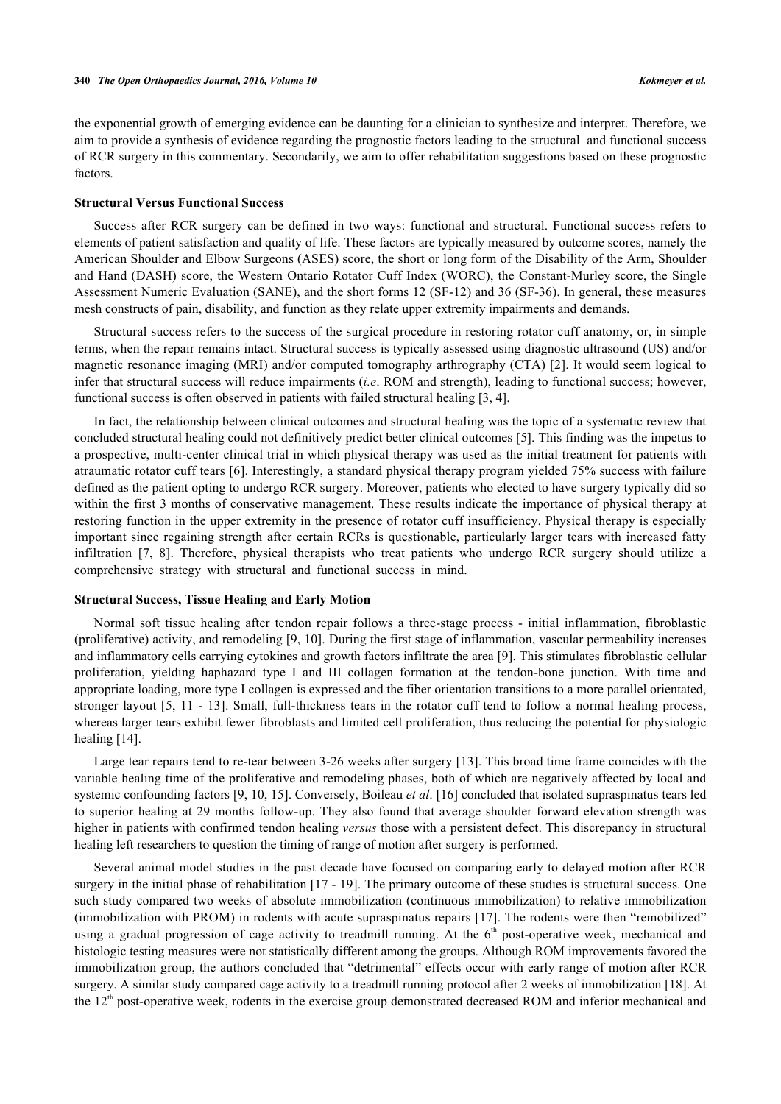the exponential growth of emerging evidence can be daunting for a clinician to synthesize and interpret. Therefore, we aim to provide a synthesis of evidence regarding the prognostic factors leading to the structural and functional success of RCR surgery in this commentary. Secondarily, we aim to offer rehabilitation suggestions based on these prognostic factors.

#### **Structural Versus Functional Success**

Success after RCR surgery can be defined in two ways: functional and structural. Functional success refers to elements of patient satisfaction and quality of life. These factors are typically measured by outcome scores, namely the American Shoulder and Elbow Surgeons (ASES) score, the short or long form of the Disability of the Arm, Shoulder and Hand (DASH) score, the Western Ontario Rotator Cuff Index (WORC), the Constant-Murley score, the Single Assessment Numeric Evaluation (SANE), and the short forms 12 (SF-12) and 36 (SF-36). In general, these measures mesh constructs of pain, disability, and function as they relate upper extremity impairments and demands.

Structural success refers to the success of the surgical procedure in restoring rotator cuff anatomy, or, in simple terms, when the repair remains intact. Structural success is typically assessed using diagnostic ultrasound (US) and/or magnetic resonance imaging (MRI) and/or computed tomography arthrography (CTA) [[2\]](#page--1-0). It would seem logical to infer that structural success will reduce impairments (*i.e*. ROM and strength), leading to functional success; however, functional success is often observed in patients with failed structural healing [\[3](#page--1-0), [4](#page--1-0)].

In fact, the relationship between clinical outcomes and structural healing was the topic of a systematic review that concluded structural healing could not definitively predict better clinical outcomes [[5\]](#page--1-0). This finding was the impetus to a prospective, multi-center clinical trial in which physical therapy was used as the initial treatment for patients with atraumatic rotator cuff tears [\[6](#page--1-0)]. Interestingly, a standard physical therapy program yielded 75% success with failure defined as the patient opting to undergo RCR surgery. Moreover, patients who elected to have surgery typically did so within the first 3 months of conservative management. These results indicate the importance of physical therapy at restoring function in the upper extremity in the presence of rotator cuff insufficiency. Physical therapy is especially important since regaining strength after certain RCRs is questionable, particularly larger tears with increased fatty infiltration[[7](#page--1-0), [8\]](#page--1-0). Therefore, physical therapists who treat patients who undergo RCR surgery should utilize a comprehensive strategy with structural and functional success in mind.

#### **Structural Success, Tissue Healing and Early Motion**

Normal soft tissue healing after tendon repair follows a three-stage process - initial inflammation, fibroblastic (proliferative) activity, and remodeling [[9,](#page--1-0) [10](#page--1-0)]. During the first stage of inflammation, vascular permeability increases and inflammatory cells carrying cytokines and growth factors infiltrate the area [[9\]](#page--1-0). This stimulates fibroblastic cellular proliferation, yielding haphazard type I and III collagen formation at the tendon-bone junction. With time and appropriate loading, more type I collagen is expressed and the fiber orientation transitions to a more parallel orientated, stronger layout [\[5](#page--1-0), [11](#page--1-0) - [13](#page--1-0)]. Small, full-thickness tears in the rotator cuff tend to follow a normal healing process, whereas larger tears exhibit fewer fibroblasts and limited cell proliferation, thus reducing the potential for physiologic healing [[14\]](#page--1-0).

Large tear repairs tend to re-tear between 3-26 weeks after surgery [\[13](#page--1-0)]. This broad time frame coincides with the variable healing time of the proliferative and remodeling phases, both of which are negatively affected by local and systemic confounding factors [\[9](#page--1-0), [10](#page--1-0), [15\]](#page--1-0). Conversely, Boileau *et al*. [[16\]](#page--1-0) concluded that isolated supraspinatus tears led to superior healing at 29 months follow-up. They also found that average shoulder forward elevation strength was higher in patients with confirmed tendon healing *versus* those with a persistent defect. This discrepancy in structural healing left researchers to question the timing of range of motion after surgery is performed.

Several animal model studies in the past decade have focused on comparing early to delayed motion after RCR surgery in the initial phase of rehabilitation [[17](#page--1-0) - [19](#page--1-0)]. The primary outcome of these studies is structural success. One such study compared two weeks of absolute immobilization (continuous immobilization) to relative immobilization (immobilization with PROM) in rodents with acute supraspinatus repairs [[17\]](#page--1-0). The rodents were then "remobilized" using a gradual progression of cage activity to treadmill running. At the  $6<sup>th</sup>$  post-operative week, mechanical and histologic testing measures were not statistically different among the groups. Although ROM improvements favored the immobilization group, the authors concluded that "detrimental" effects occur with early range of motion after RCR surgery. A similar study compared cage activity to a treadmill running protocol after 2 weeks of immobilization [\[18](#page--1-0)]. At the  $12<sup>th</sup>$  post-operative week, rodents in the exercise group demonstrated decreased ROM and inferior mechanical and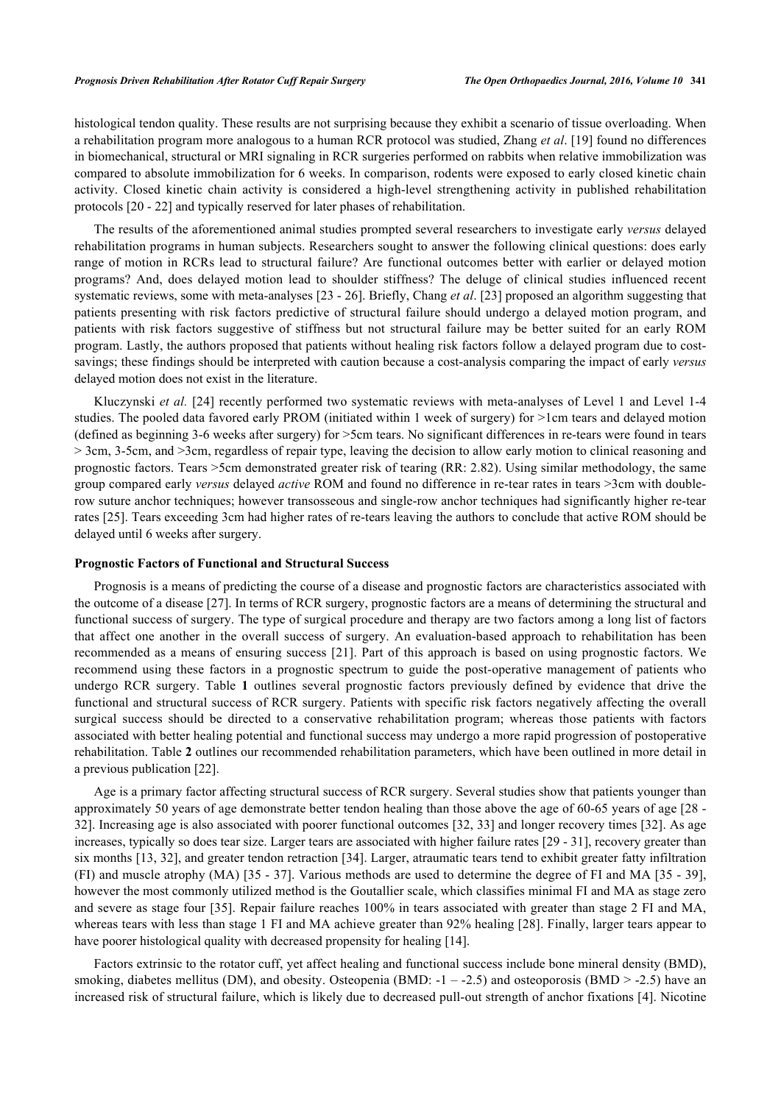histological tendon quality. These results are not surprising because they exhibit a scenario of tissue overloading. When a rehabilitation program more analogous to a human RCR protocol was studied, Zhang *et al*. [[19\]](#page--1-0) found no differences in biomechanical, structural or MRI signaling in RCR surgeries performed on rabbits when relative immobilization was compared to absolute immobilization for 6 weeks. In comparison, rodents were exposed to early closed kinetic chain activity. Closed kinetic chain activity is considered a high-level strengthening activity in published rehabilitation protocols [[20](#page--1-0) - [22](#page--1-0)] and typically reserved for later phases of rehabilitation.

The results of the aforementioned animal studies prompted several researchers to investigate early *versus* delayed rehabilitation programs in human subjects. Researchers sought to answer the following clinical questions: does early range of motion in RCRs lead to structural failure? Are functional outcomes better with earlier or delayed motion programs? And, does delayed motion lead to shoulder stiffness? The deluge of clinical studies influenced recent systematic reviews, some with meta-analyses [\[23](#page--1-0) - [26\]](#page--1-0). Briefly, Chang *et al*. [\[23](#page--1-0)] proposed an algorithm suggesting that patients presenting with risk factors predictive of structural failure should undergo a delayed motion program, and patients with risk factors suggestive of stiffness but not structural failure may be better suited for an early ROM program. Lastly, the authors proposed that patients without healing risk factors follow a delayed program due to costsavings; these findings should be interpreted with caution because a cost-analysis comparing the impact of early *versus* delayed motion does not exist in the literature.

Kluczynski *et al.* [[24](#page--1-0)] recently performed two systematic reviews with meta-analyses of Level 1 and Level 1-4 studies. The pooled data favored early PROM (initiated within 1 week of surgery) for >1cm tears and delayed motion (defined as beginning 3-6 weeks after surgery) for >5cm tears. No significant differences in re-tears were found in tears > 3cm, 3-5cm, and >3cm, regardless of repair type, leaving the decision to allow early motion to clinical reasoning and prognostic factors. Tears >5cm demonstrated greater risk of tearing (RR: 2.82). Using similar methodology, the same group compared early *versus* delayed *active* ROM and found no difference in re-tear rates in tears >3cm with doublerow suture anchor techniques; however transosseous and single-row anchor techniques had significantly higher re-tear rates [[25\]](#page--1-0). Tears exceeding 3cm had higher rates of re-tears leaving the authors to conclude that active ROM should be delayed until 6 weeks after surgery.

#### **Prognostic Factors of Functional and Structural Success**

Prognosis is a means of predicting the course of a disease and prognostic factors are characteristics associated with the outcome of a disease [[27\]](#page--1-0). In terms of RCR surgery, prognostic factors are a means of determining the structural and functional success of surgery. The type of surgical procedure and therapy are two factors among a long list of factors that affect one another in the overall success of surgery. An evaluation-based approach to rehabilitation has been recommended as a means of ensuring success [[21](#page--1-0)]. Part of this approach is based on using prognostic factors. We recommend using these factors in a prognostic spectrum to guide the post-operative management of patients who undergo RCR surgery. Table**1** outlines several prognostic factors previously defined by evidence that drive the functional and structural success of RCR surgery. Patients with specific risk factors negatively affecting the overall surgical success should be directed to a conservative rehabilitation program; whereas those patients with factors associated with better healing potential and functional success may undergo a more rapid progression of postoperative rehabilitation. Table **[2](#page-3-1)** outlines our recommended rehabilitation parameters, which have been outlined in more detail in a previous publication [\[22](#page--1-0)].

Age is a primary factor affecting structural success of RCR surgery. Several studies show that patients younger than approximately 50 years of age demonstrate better tendon healing than those above the age of 60-65 years of age [\[28](#page--1-0) - [32\]](#page--1-0). Increasing age is also associated with poorer functional outcomes [\[32](#page--1-0), [33\]](#page--1-0) and longer recovery times [[32](#page--1-0)]. As age increases, typically so does tear size. Larger tears are associated with higher failure rates [[29](#page--1-0) - [31](#page--1-0)], recovery greater than six months [[13](#page--1-0), [32](#page--1-0)], and greater tendon retraction [[34](#page--1-0)]. Larger, atraumatic tears tend to exhibit greater fatty infiltration (FI) and muscle atrophy (MA) [\[35](#page--1-0) - [37\]](#page--1-0). Various methods are used to determine the degree of FI and MA [[35](#page--1-0) - [39\]](#page--1-0), however the most commonly utilized method is the Goutallier scale, which classifies minimal FI and MA as stage zero and severe as stage four [[35\]](#page--1-0). Repair failure reaches 100% in tears associated with greater than stage 2 FI and MA, whereas tears with less than stage 1 FI and MA achieve greater than 92% healing [\[28\]](#page--1-0). Finally, larger tears appear to have poorer histological quality with decreased propensity for healing [\[14](#page--1-0)].

Factors extrinsic to the rotator cuff, yet affect healing and functional success include bone mineral density (BMD), smoking, diabetes mellitus (DM), and obesity. Osteopenia (BMD:  $-1 - -2.5$ ) and osteoporosis (BMD > -2.5) have an increased risk of structural failure, which is likely due to decreased pull-out strength of anchor fixations [[4\]](#page--1-0). Nicotine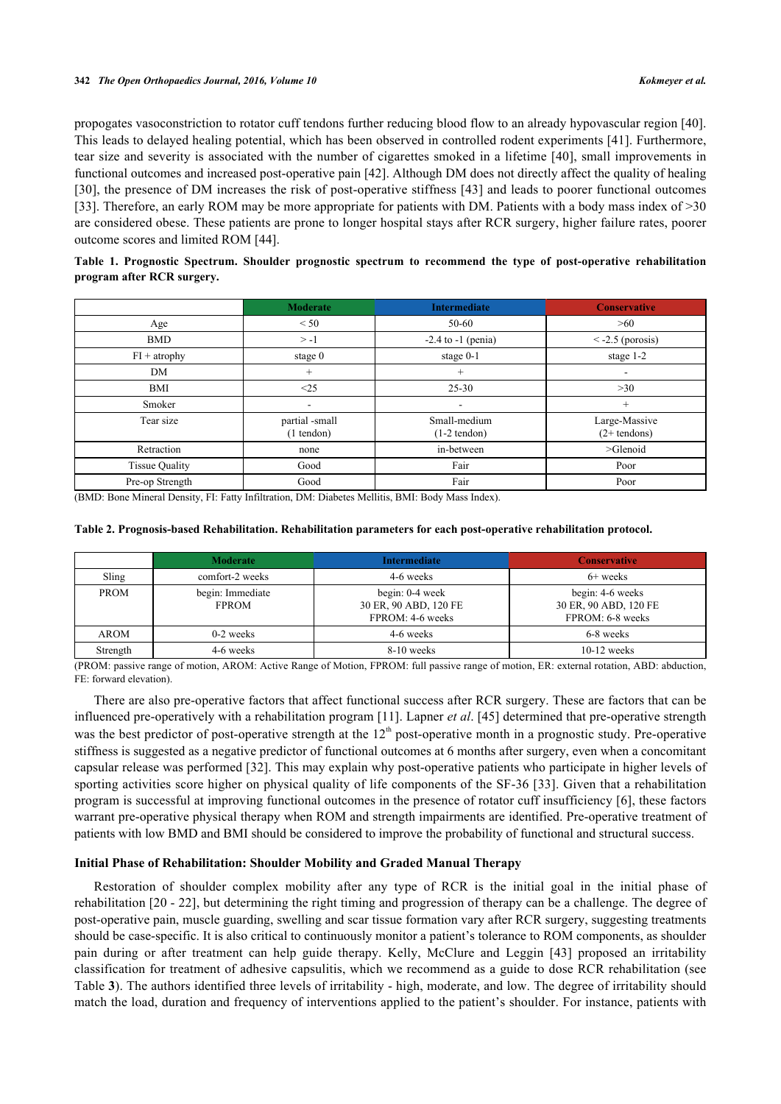propogates vasoconstriction to rotator cuff tendons further reducing blood flow to an already hypovascular region [[40\]](#page--1-0). This leads to delayed healing potential, which has been observed in controlled rodent experiments [\[41](#page--1-0)]. Furthermore, tear size and severity is associated with the number of cigarettes smoked in a lifetime [[40](#page--1-0)], small improvements in functional outcomes and increased post-operative pain [\[42](#page--1-0)]. Although DM does not directly affect the quality of healing [\[30](#page--1-0)], the presence of DM increases the risk of post-operative stiffness [[43\]](#page--1-0) and leads to poorer functional outcomes [\[33](#page--1-0)]. Therefore, an early ROM may be more appropriate for patients with DM. Patients with a body mass index of >30 are considered obese. These patients are prone to longer hospital stays after RCR surgery, higher failure rates, poorer outcome scores and limited ROM [[44\]](#page--1-0).

<span id="page-3-0"></span>

| Table 1. Prognostic Spectrum. Shoulder prognostic spectrum to recommend the type of post-operative rehabilitation |  |  |  |  |  |  |
|-------------------------------------------------------------------------------------------------------------------|--|--|--|--|--|--|
| program after RCR surgery.                                                                                        |  |  |  |  |  |  |

|                       | <b>Moderate</b>                | <b>Intermediate</b>            | <b>Conservative</b>             |
|-----------------------|--------------------------------|--------------------------------|---------------------------------|
| Age                   | < 50                           | 50-60                          | >60                             |
| <b>BMD</b>            | $\geq -1$                      | $-2.4$ to $-1$ (penia)         | $\le$ -2.5 (porosis)            |
| $FI + atrophy$        | stage $0$                      | stage $0-1$                    | stage $1-2$                     |
| DM                    | $^{+}$                         | $\pm$                          |                                 |
| BMI                   | <25                            | $25 - 30$                      | >30                             |
| Smoker                | ۰                              | $\overline{\phantom{a}}$       | $^{+}$                          |
| Tear size             | partial -small<br>$(1$ tendon) | Small-medium<br>$(1-2$ tendon) | Large-Massive<br>$(2+$ tendons) |
| Retraction            | none                           | in-between                     | >Glenoid                        |
| <b>Tissue Quality</b> | Good                           | Fair                           | Poor                            |
| Pre-op Strength       | Good                           | Fair                           | Poor                            |

(BMD: Bone Mineral Density, FI: Fatty Infiltration, DM: Diabetes Mellitis, BMI: Body Mass Index).

#### <span id="page-3-1"></span>**Table 2. Prognosis-based Rehabilitation. Rehabilitation parameters for each post-operative rehabilitation protocol.**

|             | Moderate                         | <b>Intermediate</b>                                            | <b>Conservative</b>                                           |
|-------------|----------------------------------|----------------------------------------------------------------|---------------------------------------------------------------|
| Sling       | comfort-2 weeks                  | 4-6 weeks                                                      | $6+$ weeks                                                    |
| <b>PROM</b> | begin: Immediate<br><b>FPROM</b> | begin: $0-4$ week<br>30 ER, 90 ABD, 120 FE<br>FPROM: 4-6 weeks | begin: 4-6 weeks<br>30 ER, 90 ABD, 120 FE<br>FPROM: 6-8 weeks |
| AROM        | $0-2$ weeks                      | 4-6 weeks                                                      | 6-8 weeks                                                     |
| Strength    | 4-6 weeks                        | 8-10 weeks                                                     | $10-12$ weeks                                                 |

(PROM: passive range of motion, AROM: Active Range of Motion, FPROM: full passive range of motion, ER: external rotation, ABD: abduction, FE: forward elevation).

There are also pre-operative factors that affect functional success after RCR surgery. These are factors that can be influenced pre-operatively with a rehabilitation program [[11](#page--1-0)]. Lapner *et al*. [\[45\]](#page--1-0) determined that pre-operative strength was the best predictor of post-operative strength at the  $12<sup>th</sup>$  post-operative month in a prognostic study. Pre-operative stiffness is suggested as a negative predictor of functional outcomes at 6 months after surgery, even when a concomitant capsular release was performed [[32](#page--1-0)]. This may explain why post-operative patients who participate in higher levels of sporting activities score higher on physical quality of life components of the SF-36 [[33](#page--1-0)]. Given that a rehabilitation program is successful at improving functional outcomes in the presence of rotator cuff insufficiency [\[6](#page--1-0)], these factors warrant pre-operative physical therapy when ROM and strength impairments are identified. Pre-operative treatment of patients with low BMD and BMI should be considered to improve the probability of functional and structural success.

#### **Initial Phase of Rehabilitation: Shoulder Mobility and Graded Manual Therapy**

Restoration of shoulder complex mobility after any type of RCR is the initial goal in the initial phase of rehabilitation [\[20](#page--1-0) - [22](#page--1-0)], but determining the right timing and progression of therapy can be a challenge. The degree of post-operative pain, muscle guarding, swelling and scar tissue formation vary after RCR surgery, suggesting treatments should be case-specific. It is also critical to continuously monitor a patient's tolerance to ROM components, as shoulder pain during or after treatment can help guide therapy. Kelly, McClure and Leggin[[43\]](#page--1-0) proposed an irritability classification for treatment of adhesive capsulitis, which we recommend as a guide to dose RCR rehabilitation (see Table **[3](#page-4-0)**). The authors identified three levels of irritability - high, moderate, and low. The degree of irritability should match the load, duration and frequency of interventions applied to the patient's shoulder. For instance, patients with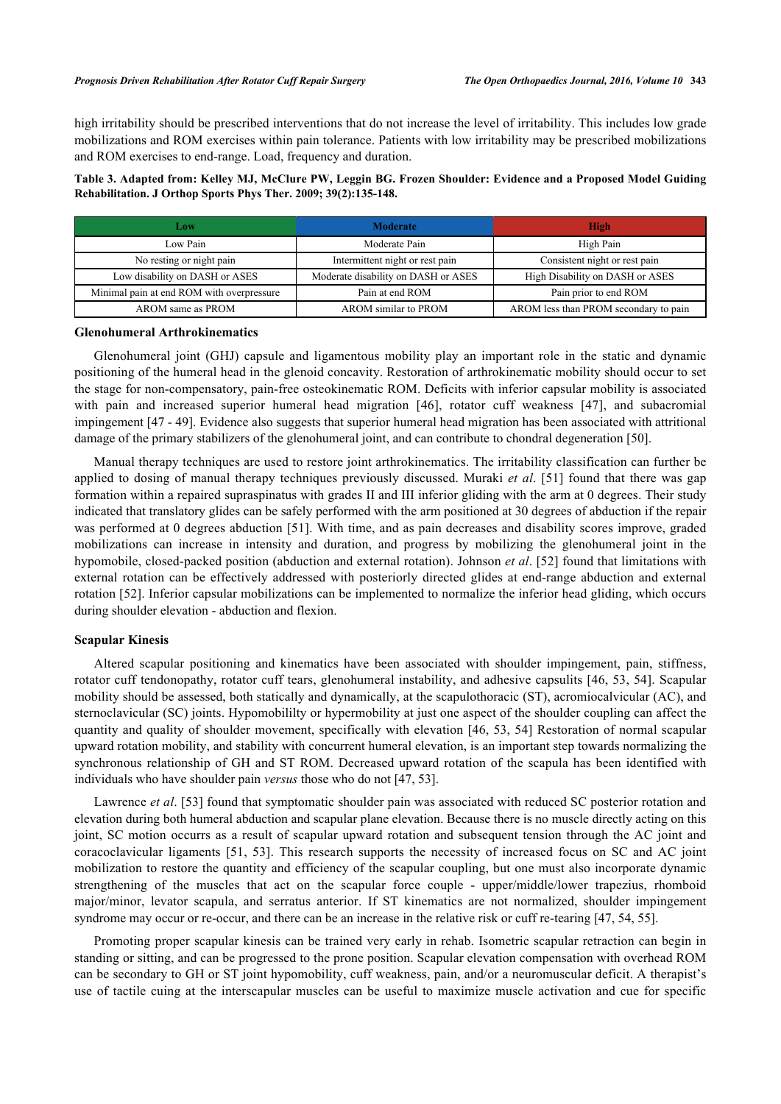high irritability should be prescribed interventions that do not increase the level of irritability. This includes low grade mobilizations and ROM exercises within pain tolerance. Patients with low irritability may be prescribed mobilizations and ROM exercises to end-range. Load, frequency and duration.

<span id="page-4-0"></span>**Table 3. Adapted from: Kelley MJ, McClure PW, Leggin BG. Frozen Shoulder: Evidence and a Proposed Model Guiding Rehabilitation. J Orthop Sports Phys Ther. 2009; 39(2):135-148.**

| Low                                       | <b>Moderate</b>                     | High                                  |  |  |
|-------------------------------------------|-------------------------------------|---------------------------------------|--|--|
| Low Pain                                  | Moderate Pain                       | High Pain                             |  |  |
| No resting or night pain                  | Intermittent night or rest pain     | Consistent night or rest pain         |  |  |
| Low disability on DASH or ASES            | Moderate disability on DASH or ASES | High Disability on DASH or ASES       |  |  |
| Minimal pain at end ROM with overpressure | Pain at end ROM                     | Pain prior to end ROM                 |  |  |
| AROM same as PROM                         | AROM similar to PROM                | AROM less than PROM secondary to pain |  |  |

#### **Glenohumeral Arthrokinematics**

Glenohumeral joint (GHJ) capsule and ligamentous mobility play an important role in the static and dynamic positioning of the humeral head in the glenoid concavity. Restoration of arthrokinematic mobility should occur to set the stage for non-compensatory, pain-free osteokinematic ROM. Deficits with inferior capsular mobility is associated withpain and increased superior humeral head migration [[46](#page--1-0)], rotator cuff weakness [\[47\]](#page--1-0), and subacromial impingement [\[47](#page--1-0) - [49\]](#page--1-0). Evidence also suggests that superior humeral head migration has been associated with attritional damage of the primary stabilizers of the glenohumeral joint, and can contribute to chondral degeneration [\[50](#page--1-0)].

Manual therapy techniques are used to restore joint arthrokinematics. The irritability classification can further be applied to dosing of manual therapy techniques previously discussed. Muraki *et al*. [\[51](#page--1-0)] found that there was gap formation within a repaired supraspinatus with grades II and III inferior gliding with the arm at 0 degrees. Their study indicated that translatory glides can be safely performed with the arm positioned at 30 degrees of abduction if the repair was performed at 0 degrees abduction [\[51](#page--1-0)]. With time, and as pain decreases and disability scores improve, graded mobilizations can increase in intensity and duration, and progress by mobilizing the glenohumeral joint in the hypomobile, closed-packed position (abduction and external rotation). Johnson *et al*. [\[52\]](#page--1-0) found that limitations with external rotation can be effectively addressed with posteriorly directed glides at end-range abduction and external rotation [\[52\]](#page--1-0). Inferior capsular mobilizations can be implemented to normalize the inferior head gliding, which occurs during shoulder elevation - abduction and flexion.

#### **Scapular Kinesis**

Altered scapular positioning and kinematics have been associated with shoulder impingement, pain, stiffness, rotator cuff tendonopathy, rotator cuff tears, glenohumeral instability, and adhesive capsulits [[46](#page--1-0), [53](#page--1-0), [54\]](#page--1-0). Scapular mobility should be assessed, both statically and dynamically, at the scapulothoracic (ST), acromiocalvicular (AC), and sternoclavicular (SC) joints. Hypomobililty or hypermobility at just one aspect of the shoulder coupling can affect the quantity and quality of shoulder movement, specifically with elevation [\[46](#page--1-0), [53,](#page--1-0) [54\]](#page--1-0) Restoration of normal scapular upward rotation mobility, and stability with concurrent humeral elevation, is an important step towards normalizing the synchronous relationship of GH and ST ROM. Decreased upward rotation of the scapula has been identified with individuals who have shoulder pain *versus* those who do not [[47,](#page--1-0) [53\]](#page--1-0).

Lawrence *et al*. [\[53\]](#page--1-0) found that symptomatic shoulder pain was associated with reduced SC posterior rotation and elevation during both humeral abduction and scapular plane elevation. Because there is no muscle directly acting on this joint, SC motion occurrs as a result of scapular upward rotation and subsequent tension through the AC joint and coracoclavicular ligaments[[51, 53\]](#page--1-0). This research supports the necessity of increased focus on SC and AC joint mobilization to restore the quantity and efficiency of the scapular coupling, but one must also incorporate dynamic strengthening of the muscles that act on the scapular force couple - upper/middle/lower trapezius, rhomboid major/minor, levator scapula, and serratus anterior. If ST kinematics are not normalized, shoulder impingement syndrome may occur or re-occur, and there can be an increase in the relative risk or cuff re-tearing [\[47](#page--1-0), [54](#page--1-0), [55](#page--1-0)].

Promoting proper scapular kinesis can be trained very early in rehab. Isometric scapular retraction can begin in standing or sitting, and can be progressed to the prone position. Scapular elevation compensation with overhead ROM can be secondary to GH or ST joint hypomobility, cuff weakness, pain, and/or a neuromuscular deficit. A therapist's use of tactile cuing at the interscapular muscles can be useful to maximize muscle activation and cue for specific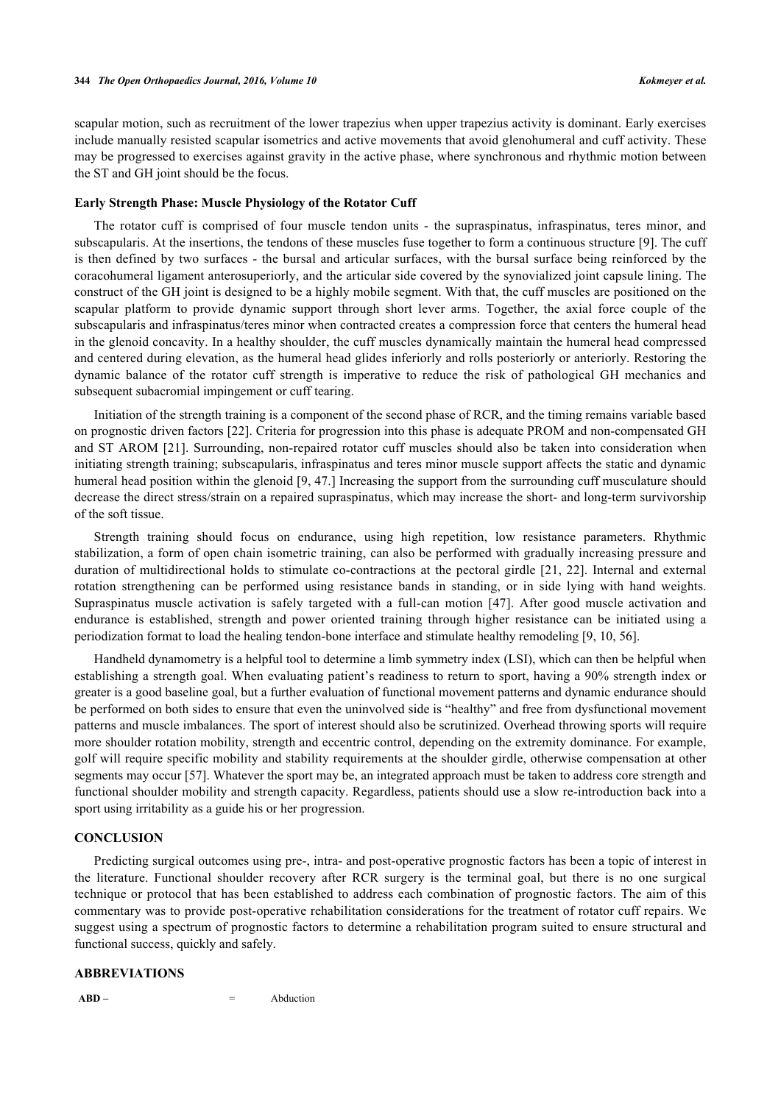scapular motion, such as recruitment of the lower trapezius when upper trapezius activity is dominant. Early exercises include manually resisted scapular isometrics and active movements that avoid glenohumeral and cuff activity. These may be progressed to exercises against gravity in the active phase, where synchronous and rhythmic motion between the ST and GH joint should be the focus.

#### **Early Strength Phase: Muscle Physiology of the Rotator Cuff**

The rotator cuff is comprised of four muscle tendon units - the supraspinatus, infraspinatus, teres minor, and subscapularis. At the insertions, the tendons of these muscles fuse together to form a continuous structure [\[9](#page--1-0)]. The cuff is then defined by two surfaces - the bursal and articular surfaces, with the bursal surface being reinforced by the coracohumeral ligament anterosuperiorly, and the articular side covered by the synovialized joint capsule lining. The construct of the GH joint is designed to be a highly mobile segment. With that, the cuff muscles are positioned on the scapular platform to provide dynamic support through short lever arms. Together, the axial force couple of the subscapularis and infraspinatus/teres minor when contracted creates a compression force that centers the humeral head in the glenoid concavity. In a healthy shoulder, the cuff muscles dynamically maintain the humeral head compressed and centered during elevation, as the humeral head glides inferiorly and rolls posteriorly or anteriorly. Restoring the dynamic balance of the rotator cuff strength is imperative to reduce the risk of pathological GH mechanics and subsequent subacromial impingement or cuff tearing.

Initiation of the strength training is a component of the second phase of RCR, and the timing remains variable based on prognostic driven factors [[22\]](#page--1-0). Criteria for progression into this phase is adequate PROM and non-compensated GH and ST AROM [[21](#page--1-0)]. Surrounding, non-repaired rotator cuff muscles should also be taken into consideration when initiating strength training; subscapularis, infraspinatus and teres minor muscle support affects the static and dynamic humeral head position within the glenoid [[9,](#page--1-0) [47](#page--1-0).] Increasing the support from the surrounding cuff musculature should decrease the direct stress/strain on a repaired supraspinatus, which may increase the short- and long-term survivorship of the soft tissue.

Strength training should focus on endurance, using high repetition, low resistance parameters. Rhythmic stabilization, a form of open chain isometric training, can also be performed with gradually increasing pressure and duration of multidirectional holds to stimulate co-contractions at the pectoral girdle [[21,](#page--1-0) [22](#page--1-0)]. Internal and external rotation strengthening can be performed using resistance bands in standing, or in side lying with hand weights. Supraspinatus muscle activation is safely targeted with a full-can motion[[47](#page--1-0)]. After good muscle activation and endurance is established, strength and power oriented training through higher resistance can be initiated using a periodization format to load the healing tendon-bone interface and stimulate healthy remodeling [\[9](#page--1-0), [10](#page--1-0), [56](#page--1-0)].

Handheld dynamometry is a helpful tool to determine a limb symmetry index (LSI), which can then be helpful when establishing a strength goal. When evaluating patient's readiness to return to sport, having a 90% strength index or greater is a good baseline goal, but a further evaluation of functional movement patterns and dynamic endurance should be performed on both sides to ensure that even the uninvolved side is "healthy" and free from dysfunctional movement patterns and muscle imbalances. The sport of interest should also be scrutinized. Overhead throwing sports will require more shoulder rotation mobility, strength and eccentric control, depending on the extremity dominance. For example, golf will require specific mobility and stability requirements at the shoulder girdle, otherwise compensation at other segments may occur [\[57](#page--1-0)]. Whatever the sport may be, an integrated approach must be taken to address core strength and functional shoulder mobility and strength capacity. Regardless, patients should use a slow re-introduction back into a sport using irritability as a guide his or her progression.

#### **CONCLUSION**

Predicting surgical outcomes using pre-, intra- and post-operative prognostic factors has been a topic of interest in the literature. Functional shoulder recovery after RCR surgery is the terminal goal, but there is no one surgical technique or protocol that has been established to address each combination of prognostic factors. The aim of this commentary was to provide post-operative rehabilitation considerations for the treatment of rotator cuff repairs. We suggest using a spectrum of prognostic factors to determine a rehabilitation program suited to ensure structural and functional success, quickly and safely.

#### **ABBREVIATIONS**

**ABD** –  $\qquad \qquad =$  Abduction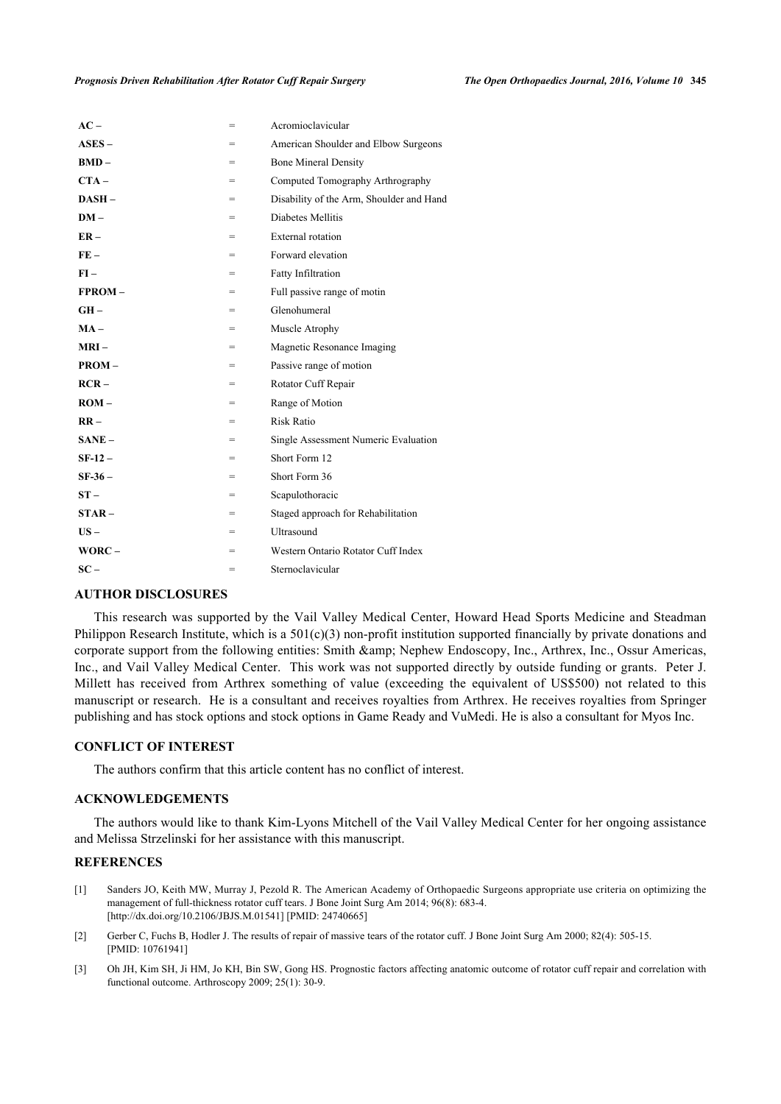| $AC -$    | =   | Acromioclavicular                        |
|-----------|-----|------------------------------------------|
| $ASES -$  | $=$ | American Shoulder and Elbow Surgeons     |
| $BMD -$   | $=$ | <b>Bone Mineral Density</b>              |
| $CTA -$   | $=$ | Computed Tomography Arthrography         |
| DASH-     | =   | Disability of the Arm, Shoulder and Hand |
| $DM -$    | =   | Diabetes Mellitis                        |
| $ER -$    | =   | <b>External</b> rotation                 |
| $FE -$    | $=$ | Forward elevation                        |
| $FI -$    | $=$ | <b>Fatty Infiltration</b>                |
| $FPROM -$ | $=$ | Full passive range of motin              |
| $GH -$    | =   | Glenohumeral                             |
| $MA -$    | $=$ | Muscle Atrophy                           |
| $MRI -$   | $=$ | Magnetic Resonance Imaging               |
| $PROM -$  | $=$ | Passive range of motion                  |
| $RCR -$   | $=$ | Rotator Cuff Repair                      |
| $ROM -$   | $=$ | Range of Motion                          |
| $RR -$    | $=$ | <b>Risk Ratio</b>                        |
| $SANE -$  | $=$ | Single Assessment Numeric Evaluation     |
| $SF-12-$  | $=$ | Short Form 12                            |
| $SF-36$ – | =   | Short Form 36                            |
| $ST -$    | $=$ | Scapulothoracic                          |
| $STAR -$  | $=$ | Staged approach for Rehabilitation       |
| $US -$    | $=$ | Ultrasound                               |
| $WORC -$  | $=$ | Western Ontario Rotator Cuff Index       |
| $SC -$    | $=$ | Sternoclavicular                         |

## **AUTHOR DISCLOSURES**

This research was supported by the Vail Valley Medical Center, Howard Head Sports Medicine and Steadman Philippon Research Institute, which is a  $501(c)(3)$  non-profit institution supported financially by private donations and corporate support from the following entities: Smith & amp; Nephew Endoscopy, Inc., Arthrex, Inc., Ossur Americas, Inc., and Vail Valley Medical Center. This work was not supported directly by outside funding or grants. Peter J. Millett has received from Arthrex something of value (exceeding the equivalent of US\$500) not related to this manuscript or research. He is a consultant and receives royalties from Arthrex. He receives royalties from Springer publishing and has stock options and stock options in Game Ready and VuMedi. He is also a consultant for Myos Inc.

#### **CONFLICT OF INTEREST**

The authors confirm that this article content has no conflict of interest.

## **ACKNOWLEDGEMENTS**

The authors would like to thank Kim-Lyons Mitchell of the Vail Valley Medical Center for her ongoing assistance and Melissa Strzelinski for her assistance with this manuscript.

## **REFERENCES**

- [1] Sanders JO, Keith MW, Murray J, Pezold R. The American Academy of Orthopaedic Surgeons appropriate use criteria on optimizing the management of full-thickness rotator cuff tears. J Bone Joint Surg Am 2014; 96(8): 683-4. [\[http://dx.doi.org/10.2106/JBJS.M.01541\]](http://dx.doi.org/10.2106/JBJS.M.01541) [PMID: [24740665](http://www.ncbi.nlm.nih.gov/pubmed/24740665)]
- [2] Gerber C, Fuchs B, Hodler J. The results of repair of massive tears of the rotator cuff. J Bone Joint Surg Am 2000; 82(4): 505-15. [PMID: [10761941\]](http://www.ncbi.nlm.nih.gov/pubmed/10761941)
- [3] Oh JH, Kim SH, Ji HM, Jo KH, Bin SW, Gong HS. Prognostic factors affecting anatomic outcome of rotator cuff repair and correlation with functional outcome. Arthroscopy 2009; 25(1): 30-9.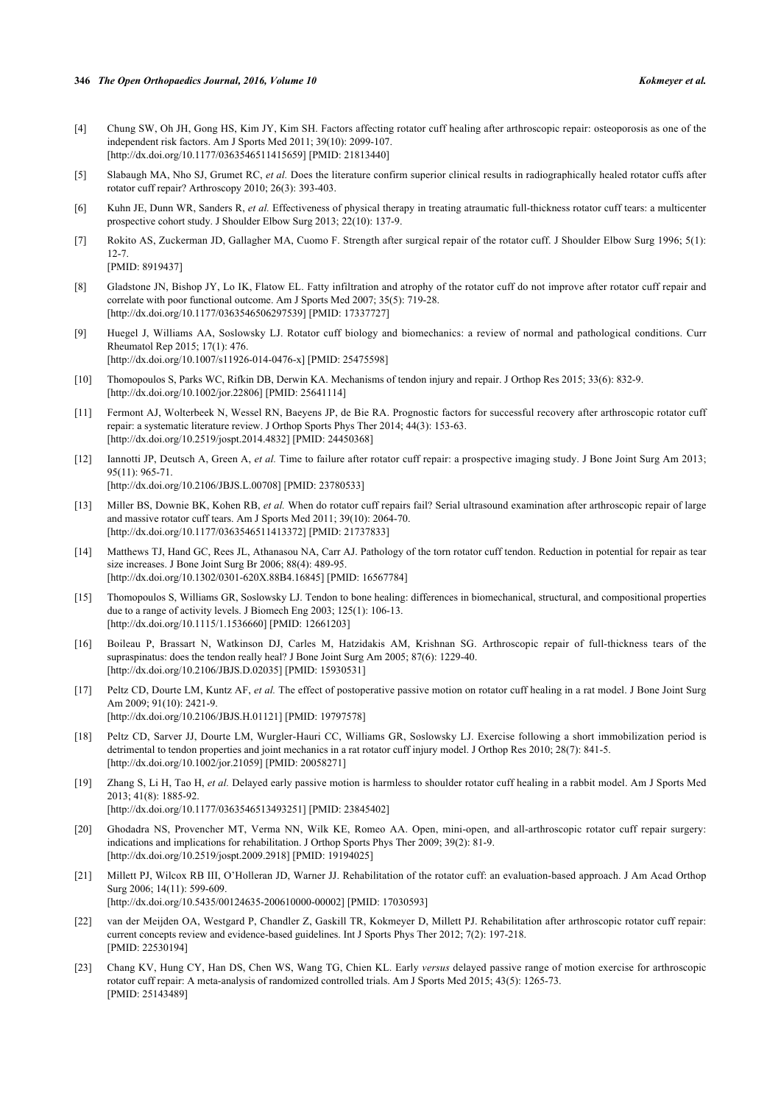- [4] Chung SW, Oh JH, Gong HS, Kim JY, Kim SH. Factors affecting rotator cuff healing after arthroscopic repair: osteoporosis as one of the independent risk factors. Am J Sports Med 2011; 39(10): 2099-107. [\[http://dx.doi.org/10.1177/0363546511415659\]](http://dx.doi.org/10.1177/0363546511415659) [PMID: [21813440](http://www.ncbi.nlm.nih.gov/pubmed/21813440)]
- [5] Slabaugh MA, Nho SJ, Grumet RC, *et al.* Does the literature confirm superior clinical results in radiographically healed rotator cuffs after rotator cuff repair? Arthroscopy 2010; 26(3): 393-403.
- [6] Kuhn JE, Dunn WR, Sanders R, *et al.* Effectiveness of physical therapy in treating atraumatic full-thickness rotator cuff tears: a multicenter prospective cohort study. J Shoulder Elbow Surg 2013; 22(10): 137-9.
- [7] Rokito AS, Zuckerman JD, Gallagher MA, Cuomo F. Strength after surgical repair of the rotator cuff. J Shoulder Elbow Surg 1996; 5(1): 12-7. [PMID: [8919437\]](http://www.ncbi.nlm.nih.gov/pubmed/8919437)
- [8] Gladstone JN, Bishop JY, Lo IK, Flatow EL. Fatty infiltration and atrophy of the rotator cuff do not improve after rotator cuff repair and correlate with poor functional outcome. Am J Sports Med 2007; 35(5): 719-28. [\[http://dx.doi.org/10.1177/0363546506297539\]](http://dx.doi.org/10.1177/0363546506297539) [PMID: [17337727](http://www.ncbi.nlm.nih.gov/pubmed/17337727)]
- [9] Huegel J, Williams AA, Soslowsky LJ. Rotator cuff biology and biomechanics: a review of normal and pathological conditions. Curr Rheumatol Rep 2015; 17(1): 476. [\[http://dx.doi.org/10.1007/s11926-014-0476-x\]](http://dx.doi.org/10.1007/s11926-014-0476-x) [PMID: [25475598](http://www.ncbi.nlm.nih.gov/pubmed/25475598)]
- [10] Thomopoulos S, Parks WC, Rifkin DB, Derwin KA. Mechanisms of tendon injury and repair. J Orthop Res 2015; 33(6): 832-9. [\[http://dx.doi.org/10.1002/jor.22806\]](http://dx.doi.org/10.1002/jor.22806) [PMID: [25641114](http://www.ncbi.nlm.nih.gov/pubmed/25641114)]
- [11] Fermont AJ, Wolterbeek N, Wessel RN, Baeyens JP, de Bie RA. Prognostic factors for successful recovery after arthroscopic rotator cuff repair: a systematic literature review. J Orthop Sports Phys Ther 2014; 44(3): 153-63. [\[http://dx.doi.org/10.2519/jospt.2014.4832](http://dx.doi.org/10.2519/jospt.2014.4832)] [PMID: [24450368\]](http://www.ncbi.nlm.nih.gov/pubmed/24450368)
- [12] Iannotti JP, Deutsch A, Green A, *et al.* Time to failure after rotator cuff repair: a prospective imaging study. J Bone Joint Surg Am 2013; 95(11): 965-71. [\[http://dx.doi.org/10.2106/JBJS.L.00708\]](http://dx.doi.org/10.2106/JBJS.L.00708) [PMID: [23780533](http://www.ncbi.nlm.nih.gov/pubmed/23780533)]
- [13] Miller BS, Downie BK, Kohen RB, *et al.* When do rotator cuff repairs fail? Serial ultrasound examination after arthroscopic repair of large and massive rotator cuff tears. Am J Sports Med 2011; 39(10): 2064-70. [\[http://dx.doi.org/10.1177/0363546511413372\]](http://dx.doi.org/10.1177/0363546511413372) [PMID: [21737833](http://www.ncbi.nlm.nih.gov/pubmed/21737833)]
- [14] Matthews TJ, Hand GC, Rees JL, Athanasou NA, Carr AJ. Pathology of the torn rotator cuff tendon. Reduction in potential for repair as tear size increases. J Bone Joint Surg Br 2006; 88(4): 489-95. [\[http://dx.doi.org/10.1302/0301-620X.88B4.16845\]](http://dx.doi.org/10.1302/0301-620X.88B4.16845) [PMID: [16567784](http://www.ncbi.nlm.nih.gov/pubmed/16567784)]
- [15] Thomopoulos S, Williams GR, Soslowsky LJ. Tendon to bone healing: differences in biomechanical, structural, and compositional properties due to a range of activity levels. J Biomech Eng 2003; 125(1): 106-13. [\[http://dx.doi.org/10.1115/1.1536660\]](http://dx.doi.org/10.1115/1.1536660) [PMID: [12661203](http://www.ncbi.nlm.nih.gov/pubmed/12661203)]
- [16] Boileau P, Brassart N, Watkinson DJ, Carles M, Hatzidakis AM, Krishnan SG. Arthroscopic repair of full-thickness tears of the supraspinatus: does the tendon really heal? J Bone Joint Surg Am 2005; 87(6): 1229-40. [\[http://dx.doi.org/10.2106/JBJS.D.02035\]](http://dx.doi.org/10.2106/JBJS.D.02035) [PMID: [15930531](http://www.ncbi.nlm.nih.gov/pubmed/15930531)]
- [17] Peltz CD, Dourte LM, Kuntz AF, *et al.* The effect of postoperative passive motion on rotator cuff healing in a rat model. J Bone Joint Surg Am 2009; 91(10): 2421-9. [\[http://dx.doi.org/10.2106/JBJS.H.01121\]](http://dx.doi.org/10.2106/JBJS.H.01121) [PMID: [19797578](http://www.ncbi.nlm.nih.gov/pubmed/19797578)]
- [18] Peltz CD, Sarver JJ, Dourte LM, Wurgler-Hauri CC, Williams GR, Soslowsky LJ. Exercise following a short immobilization period is detrimental to tendon properties and joint mechanics in a rat rotator cuff injury model. J Orthop Res 2010; 28(7): 841-5. [\[http://dx.doi.org/10.1002/jor.21059\]](http://dx.doi.org/10.1002/jor.21059) [PMID: [20058271](http://www.ncbi.nlm.nih.gov/pubmed/20058271)]
- [19] Zhang S, Li H, Tao H, *et al.* Delayed early passive motion is harmless to shoulder rotator cuff healing in a rabbit model. Am J Sports Med 2013; 41(8): 1885-92. [\[http://dx.doi.org/10.1177/0363546513493251\]](http://dx.doi.org/10.1177/0363546513493251) [PMID: [23845402](http://www.ncbi.nlm.nih.gov/pubmed/23845402)]
- [20] Ghodadra NS, Provencher MT, Verma NN, Wilk KE, Romeo AA. Open, mini-open, and all-arthroscopic rotator cuff repair surgery: indications and implications for rehabilitation. J Orthop Sports Phys Ther 2009; 39(2): 81-9. [\[http://dx.doi.org/10.2519/jospt.2009.2918](http://dx.doi.org/10.2519/jospt.2009.2918)] [PMID: [19194025\]](http://www.ncbi.nlm.nih.gov/pubmed/19194025)
- [21] Millett PJ, Wilcox RB III, O'Holleran JD, Warner JJ. Rehabilitation of the rotator cuff: an evaluation-based approach. J Am Acad Orthop Surg 2006; 14(11): 599-609.
- [\[http://dx.doi.org/10.5435/00124635-200610000-00002](http://dx.doi.org/10.5435/00124635-200610000-00002)] [PMID: [17030593\]](http://www.ncbi.nlm.nih.gov/pubmed/17030593)
- [22] van der Meijden OA, Westgard P, Chandler Z, Gaskill TR, Kokmeyer D, Millett PJ. Rehabilitation after arthroscopic rotator cuff repair: current concepts review and evidence-based guidelines. Int J Sports Phys Ther 2012; 7(2): 197-218. [PMID: [22530194\]](http://www.ncbi.nlm.nih.gov/pubmed/22530194)
- [23] Chang KV, Hung CY, Han DS, Chen WS, Wang TG, Chien KL. Early *versus* delayed passive range of motion exercise for arthroscopic rotator cuff repair: A meta-analysis of randomized controlled trials. Am J Sports Med 2015; 43(5): 1265-73. [PMID: [25143489\]](http://www.ncbi.nlm.nih.gov/pubmed/25143489)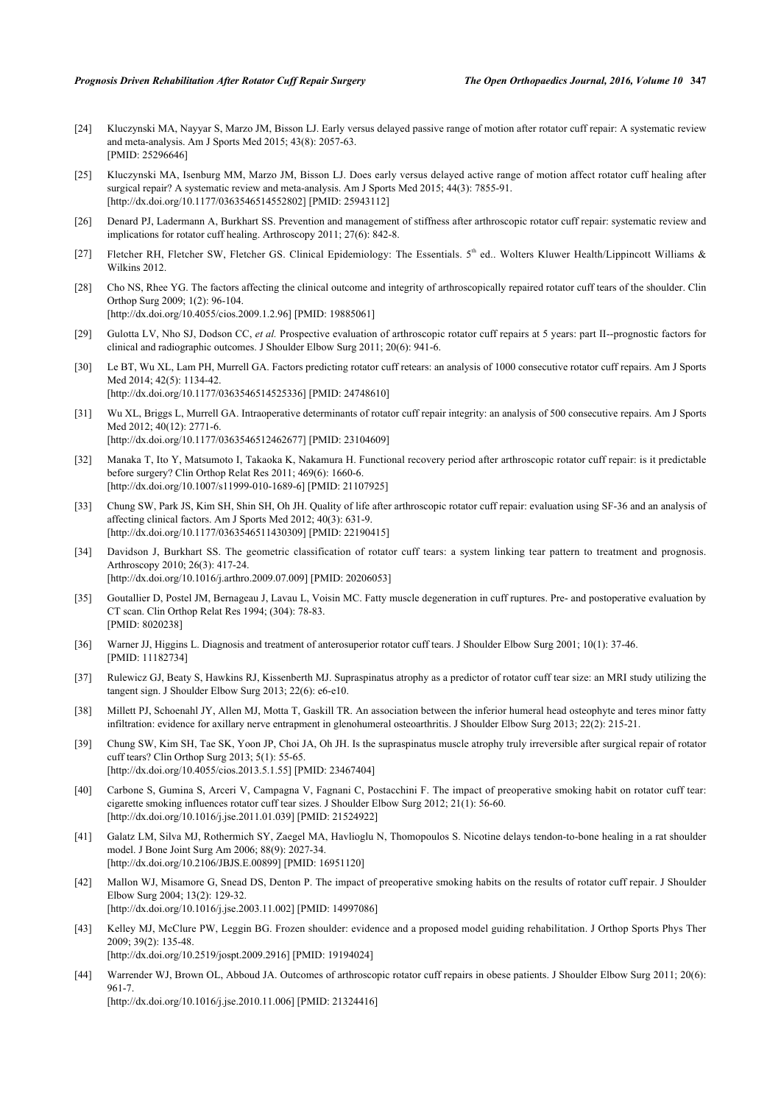- [24] Kluczynski MA, Nayyar S, Marzo JM, Bisson LJ. Early versus delayed passive range of motion after rotator cuff repair: A systematic review and meta-analysis. Am J Sports Med 2015; 43(8): 2057-63. [PMID: [25296646\]](http://www.ncbi.nlm.nih.gov/pubmed/25296646)
- [25] Kluczynski MA, Isenburg MM, Marzo JM, Bisson LJ. Does early versus delayed active range of motion affect rotator cuff healing after surgical repair? A systematic review and meta-analysis. Am J Sports Med 2015; 44(3): 7855-91. [\[http://dx.doi.org/10.1177/0363546514552802\]](http://dx.doi.org/10.1177/0363546514552802) [PMID: [25943112](http://www.ncbi.nlm.nih.gov/pubmed/25943112)]
- [26] Denard PJ, Ladermann A, Burkhart SS. Prevention and management of stiffness after arthroscopic rotator cuff repair: systematic review and implications for rotator cuff healing. Arthroscopy 2011; 27(6): 842-8.
- [27] Fletcher RH, Fletcher SW, Fletcher GS. Clinical Epidemiology: The Essentials. 5<sup>th</sup> ed.. Wolters Kluwer Health/Lippincott Williams & Wilkins 2012.
- [28] Cho NS, Rhee YG. The factors affecting the clinical outcome and integrity of arthroscopically repaired rotator cuff tears of the shoulder. Clin Orthop Surg 2009; 1(2): 96-104. [\[http://dx.doi.org/10.4055/cios.2009.1.2.96\]](http://dx.doi.org/10.4055/cios.2009.1.2.96) [PMID: [19885061](http://www.ncbi.nlm.nih.gov/pubmed/19885061)]
- [29] Gulotta LV, Nho SJ, Dodson CC, *et al.* Prospective evaluation of arthroscopic rotator cuff repairs at 5 years: part II--prognostic factors for clinical and radiographic outcomes. J Shoulder Elbow Surg 2011; 20(6): 941-6.
- [30] Le BT, Wu XL, Lam PH, Murrell GA. Factors predicting rotator cuff retears: an analysis of 1000 consecutive rotator cuff repairs. Am J Sports Med 2014; 42(5): 1134-42. [\[http://dx.doi.org/10.1177/0363546514525336\]](http://dx.doi.org/10.1177/0363546514525336) [PMID: [24748610](http://www.ncbi.nlm.nih.gov/pubmed/24748610)]
- [31] Wu XL, Briggs L, Murrell GA. Intraoperative determinants of rotator cuff repair integrity: an analysis of 500 consecutive repairs. Am J Sports Med 2012; 40(12): 2771-6. [\[http://dx.doi.org/10.1177/0363546512462677\]](http://dx.doi.org/10.1177/0363546512462677) [PMID: [23104609](http://www.ncbi.nlm.nih.gov/pubmed/23104609)]
- [32] Manaka T, Ito Y, Matsumoto I, Takaoka K, Nakamura H. Functional recovery period after arthroscopic rotator cuff repair: is it predictable before surgery? Clin Orthop Relat Res 2011; 469(6): 1660-6. [\[http://dx.doi.org/10.1007/s11999-010-1689-6\]](http://dx.doi.org/10.1007/s11999-010-1689-6) [PMID: [21107925](http://www.ncbi.nlm.nih.gov/pubmed/21107925)]
- [33] Chung SW, Park JS, Kim SH, Shin SH, Oh JH. Quality of life after arthroscopic rotator cuff repair: evaluation using SF-36 and an analysis of affecting clinical factors. Am J Sports Med 2012; 40(3): 631-9. [\[http://dx.doi.org/10.1177/0363546511430309\]](http://dx.doi.org/10.1177/0363546511430309) [PMID: [22190415](http://www.ncbi.nlm.nih.gov/pubmed/22190415)]
- [34] Davidson J, Burkhart SS. The geometric classification of rotator cuff tears: a system linking tear pattern to treatment and prognosis. Arthroscopy 2010; 26(3): 417-24. [\[http://dx.doi.org/10.1016/j.arthro.2009.07.009](http://dx.doi.org/10.1016/j.arthro.2009.07.009)] [PMID: [20206053\]](http://www.ncbi.nlm.nih.gov/pubmed/20206053)
- [35] Goutallier D, Postel JM, Bernageau J, Lavau L, Voisin MC. Fatty muscle degeneration in cuff ruptures. Pre- and postoperative evaluation by CT scan. Clin Orthop Relat Res 1994; (304): 78-83. [PMID: [8020238\]](http://www.ncbi.nlm.nih.gov/pubmed/8020238)
- [36] Warner JJ, Higgins L. Diagnosis and treatment of anterosuperior rotator cuff tears. J Shoulder Elbow Surg 2001; 10(1): 37-46. [PMID: [11182734\]](http://www.ncbi.nlm.nih.gov/pubmed/11182734)
- [37] Rulewicz GJ, Beaty S, Hawkins RJ, Kissenberth MJ. Supraspinatus atrophy as a predictor of rotator cuff tear size: an MRI study utilizing the tangent sign. J Shoulder Elbow Surg 2013; 22(6): e6-e10.
- [38] Millett PJ, Schoenahl JY, Allen MJ, Motta T, Gaskill TR. An association between the inferior humeral head osteophyte and teres minor fatty infiltration: evidence for axillary nerve entrapment in glenohumeral osteoarthritis. J Shoulder Elbow Surg 2013; 22(2): 215-21.
- [39] Chung SW, Kim SH, Tae SK, Yoon JP, Choi JA, Oh JH. Is the supraspinatus muscle atrophy truly irreversible after surgical repair of rotator cuff tears? Clin Orthop Surg 2013; 5(1): 55-65. [\[http://dx.doi.org/10.4055/cios.2013.5.1.55\]](http://dx.doi.org/10.4055/cios.2013.5.1.55) [PMID: [23467404](http://www.ncbi.nlm.nih.gov/pubmed/23467404)]
- [40] Carbone S, Gumina S, Arceri V, Campagna V, Fagnani C, Postacchini F. The impact of preoperative smoking habit on rotator cuff tear: cigarette smoking influences rotator cuff tear sizes. J Shoulder Elbow Surg 2012; 21(1): 56-60. [\[http://dx.doi.org/10.1016/j.jse.2011.01.039\]](http://dx.doi.org/10.1016/j.jse.2011.01.039) [PMID: [21524922](http://www.ncbi.nlm.nih.gov/pubmed/21524922)]
- [41] Galatz LM, Silva MJ, Rothermich SY, Zaegel MA, Havlioglu N, Thomopoulos S. Nicotine delays tendon-to-bone healing in a rat shoulder model. J Bone Joint Surg Am 2006; 88(9): 2027-34. [\[http://dx.doi.org/10.2106/JBJS.E.00899\]](http://dx.doi.org/10.2106/JBJS.E.00899) [PMID: [16951120](http://www.ncbi.nlm.nih.gov/pubmed/16951120)]
- [42] Mallon WJ, Misamore G, Snead DS, Denton P. The impact of preoperative smoking habits on the results of rotator cuff repair. J Shoulder Elbow Surg 2004; 13(2): 129-32. [\[http://dx.doi.org/10.1016/j.jse.2003.11.002\]](http://dx.doi.org/10.1016/j.jse.2003.11.002) [PMID: [14997086](http://www.ncbi.nlm.nih.gov/pubmed/14997086)]
- [43] Kelley MJ, McClure PW, Leggin BG. Frozen shoulder: evidence and a proposed model guiding rehabilitation. J Orthop Sports Phys Ther 2009; 39(2): 135-48. [\[http://dx.doi.org/10.2519/jospt.2009.2916](http://dx.doi.org/10.2519/jospt.2009.2916)] [PMID: [19194024\]](http://www.ncbi.nlm.nih.gov/pubmed/19194024)
- [44] Warrender WJ, Brown OL, Abboud JA. Outcomes of arthroscopic rotator cuff repairs in obese patients. J Shoulder Elbow Surg 2011; 20(6): 961-7. [\[http://dx.doi.org/10.1016/j.jse.2010.11.006\]](http://dx.doi.org/10.1016/j.jse.2010.11.006) [PMID: [21324416](http://www.ncbi.nlm.nih.gov/pubmed/21324416)]